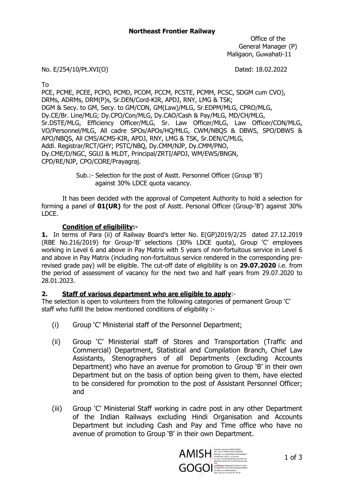Office of the General Manager (P) Maligaon, Guwahati-11

#### No. E/254/10/Pt.XVI(O) Dated: 18.02.2022

To

PCE, PCME, PCEE, PCPO, PCMD, PCOM, PCCM, PCSTE, PCMM, PCSC, SDGM cum CVO), DRMs, ADRMs, DRM(P)s, Sr.DEN/Cord-KIR, APDJ, RNY, LMG & TSK; DGM & Secy. to GM, Secy. to GM/CON, GM(Law)/MLG, Sr.EDPM/MLG, CPRO/MLG, Dy.CE/Br. Line/MLG; Dy.CPO/Con/MLG, Dy.CAO/Cash & Pay/MLG, MD/CH/MLG, Sr.DSTE/MLG, Efficiency Officer/MLG, Sr. Law Officer/MLG, Law Officer/CON/MLG, VO/Personnel/MLG, All cadre SPOs/APOs/HQ/MLG, CWM/NBQS & DBWS, SPO/DBWS & APO/NBQS, All CMS/ACMS-KIR, APDJ, RNY, LMG & TSK, Sr.DEN/C/MLG, Addl. Registrar/RCT/GHY; PSTC/NBQ, Dy.CMM/NJP, Dy.CMM/PNO, Dy.CME/D/NGC, SGUJ & MLDT, Principal/ZRTI/APDJ, WM/EWS/BNGN, CPD/RE/NJP, CPO/CORE/Prayagraj.

> Sub.:- Selection for the post of Asstt. Personnel Officer (Group 'B') against 30% LDCE quota vacancy.

It has been decided with the approval of Competent Authority to hold a selection for forming a panel of **01(UR)** for the post of Asstt. Personal Officer (Group-'B') against 30% LDCE.

#### Condition of eligibility:-

1. In terms of Para (ii) of Railway Board's letter No. E(GP)2019/2/25 dated 27.12.2019 (RBE No.216/2019) for Group-'B' selections (30% LDCE quota), Group 'C' employees working in Level 6 and above in Pay Matrix with 5 years of non-fortuitous service in Level 6 and above in Pay Matrix (including non-fortuitous service rendered in the corresponding prerevised grade pay) will be eligible. The cut-off date of eligibility is on 29.07.2020 i.e. from the period of assessment of vacancy for the next two and half years from 29.07.2020 to 28.01.2023.

#### 2. Staff of various department who are eligible to apply:-

The selection is open to volunteers from the following categories of permanent Group 'C' staff who fulfill the below mentioned conditions of eligibility :-

- (i) Group 'C' Ministerial staff of the Personnel Department;
- (ii) Group 'C' Ministerial staff of Stores and Transportation (Traffic and Commercial) Department, Statistical and Compilation Branch, Chief Law Assistants, Stenographers of all Departments (excluding Accounts Department) who have an avenue for promotion to Group 'B' in their own Department but on the basis of option being given to them, have elected to be considered for promotion to the post of Assistant Personnel Officer; and
- (iii) Group 'C' Ministerial Staff working in cadre post in any other Department of the Indian Railways excluding Hindi Organisation and Accounts Department but including Cash and Pay and Time office who have no avenue of promotion to Group 'B' in their own Department.

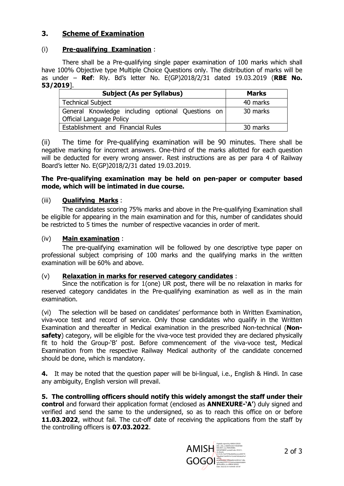# 3. Scheme of Examination

## (i) Pre-qualifying Examination :

There shall be a Pre-qualifying single paper examination of 100 marks which shall have 100% Objective type Multiple Choice Questions only. The distribution of marks will be as under – Ref: Rly. Bd's letter No.  $E(GP)2018/2/31$  dated 19.03.2019 (RBE No. 53/2019].

| <b>Subject (As per Syllabus)</b>                                                     | <b>Marks</b> |  |  |
|--------------------------------------------------------------------------------------|--------------|--|--|
| Technical Subject                                                                    | 40 marks     |  |  |
| General Knowledge including optional Questions on<br><b>Official Language Policy</b> | 30 marks     |  |  |
| Establishment and Financial Rules                                                    | 30 marks     |  |  |

(ii) The time for Pre-qualifying examination will be 90 minutes. There shall be negative marking for incorrect answers. One-third of the marks allotted for each question will be deducted for every wrong answer. Rest instructions are as per para 4 of Railway Board's letter No. E(GP)2018/2/31 dated 19.03.2019.

#### The Pre-qualifying examination may be held on pen-paper or computer based mode, which will be intimated in due course.

#### (iii) Qualifying Marks :

The candidates scoring 75% marks and above in the Pre-qualifying Examination shall be eligible for appearing in the main examination and for this, number of candidates should be restricted to 5 times the number of respective vacancies in order of merit.

#### (iv) Main examination :

The pre-qualifying examination will be followed by one descriptive type paper on professional subject comprising of 100 marks and the qualifying marks in the written examination will be 60% and above.

#### (v) Relaxation in marks for reserved category candidates :

Since the notification is for 1(one) UR post, there will be no relaxation in marks for reserved category candidates in the Pre-qualifying examination as well as in the main examination.

(vi) The selection will be based on candidates' performance both in Written Examination, viva-voce test and record of service. Only those candidates who qualify in the Written Examination and thereafter in Medical examination in the prescribed Non-technical (Nonsafety) category, will be eligible for the viva-voce test provided they are declared physically fit to hold the Group-'B' post. Before commencement of the viva-voce test, Medical Examination from the respective Railway Medical authority of the candidate concerned should be done, which is mandatory.

4. It may be noted that the question paper will be bi-lingual, i.e., English & Hindi. In case any ambiguity, English version will prevail.

5. The controlling officers should notify this widely amongst the staff under their control and forward their application format (enclosed as **ANNEXURE-'A'**) duly signed and verified and send the same to the undersigned, so as to reach this office on or before 11.03.2022, without fail. The cut-off date of receiving the applications from the staff by the controlling officers is 07.03.2022.

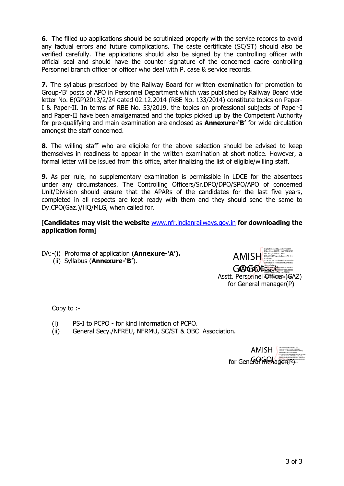6. The filled up applications should be scrutinized properly with the service records to avoid any factual errors and future complications. The caste certificate (SC/ST) should also be verified carefully. The applications should also be signed by the controlling officer with official seal and should have the counter signature of the concerned cadre controlling Personnel branch officer or officer who deal with P. case & service records.

7. The syllabus prescribed by the Railway Board for written examination for promotion to Group-'B' posts of APO in Personnel Department which was published by Railway Board vide letter No. E(GP)2013/2/24 dated 02.12.2014 (RBE No. 133/2014) constitute topics on Paper-I & Paper-II. In terms of RBE No. 53/2019, the topics on professional subjects of Paper-I and Paper-II have been amalgamated and the topics picked up by the Competent Authority for pre-qualifying and main examination are enclosed as **Annexure-'B'** for wide circulation amongst the staff concerned.

8. The willing staff who are eligible for the above selection should be advised to keep themselves in readiness to appear in the written examination at short notice. However, a formal letter will be issued from this office, after finalizing the list of eligible/willing staff.

**9.** As per rule, no supplementary examination is permissible in LDCE for the absentees under any circumstances. The Controlling Officers/Sr.DPO/DPO/SPO/APO of concerned Unit/Division should ensure that the APARs of the candidates for the last five years, completed in all respects are kept ready with them and they should send the same to Dy.CPO(Gaz.)/HQ/MLG, when called for.

#### [Candidates may visit the website www.nfr.indianrailways.gov.in for downloading the application form]

DA:-(i) Proforma of application (**Annexure-'A').** (ii) Syllabus (Annexure-'B').



Asstt. Personnel Officer (GAZ) for General manager(P)

Copy to :-

- (i) PS-I to PCPO for kind information of PCPO.
- (ii) General Secy./NFREU, NFRMU, SC/ST & OBC Association.

for General memager(P) 3 of 3 AMISH AMISH Digitally signed by AMISH GOGOI DN: c=IN, o=NORTH EAST FRONTIER RAILWAY, ou=PERSONNEL DEPARTMENT, postalCode=781011, st=Assam, 2.5.4.20=7e67979ba46d5bceeced587747c8a6 feb72dcf931b152c467692da2d1afad416,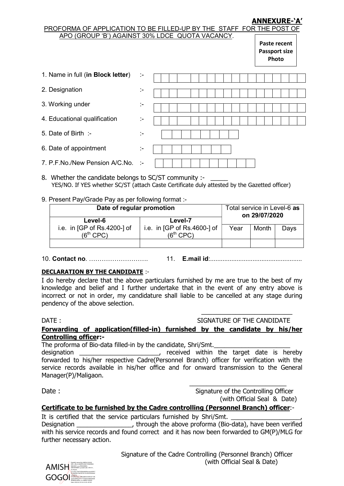## ANNEXURE-'A'

|                                   |    | PROFORMA OF APPLICATION TO BE FILLED-UP BY THE STAFF FOR THE POST OF<br>APO (GROUP 'B') AGAINST 30% LDCE QUOTA VACANCY.<br>Paste recent<br><b>Passport size</b><br>Photo |
|-----------------------------------|----|--------------------------------------------------------------------------------------------------------------------------------------------------------------------------|
| 1. Name in full (in Block letter) | ÷. |                                                                                                                                                                          |
| 2. Designation                    | ÷. |                                                                                                                                                                          |
| 3. Working under                  | ÷. |                                                                                                                                                                          |
| 4. Educational qualification      | ÷. |                                                                                                                                                                          |
| 5. Date of Birth :-               | t- |                                                                                                                                                                          |
| 6. Date of appointment            | ÷. |                                                                                                                                                                          |
| 7. P.F.No./New Pension A/C.No.    | ∴, |                                                                                                                                                                          |

- 8. Whether the candidate belongs to SC/ST community :-YES/NO. If YES whether SC/ST (attach Caste Certificate duly attested by the Gazetted officer)
- 9. Present Pay/Grade Pay as per following format :-

 $\mathcal{L}$  properties to be filled application to be filled application of  $\mathcal{L}$ 

| Date of regular promotion                    |                                              | Total service in Level-6 <b>as</b><br>on 29/07/2020 |       |      |
|----------------------------------------------|----------------------------------------------|-----------------------------------------------------|-------|------|
| Level-6                                      | Level-7                                      |                                                     |       |      |
| i.e. in $[GP of Rs.4200-] of$<br>$(6th$ CPC) | i.e. in $[GP of Rs.4600-] of$<br>$(6th$ CPC) | Year                                                | Month | Days |
|                                              |                                              |                                                     |       |      |

10. Contact no. ………………………. 11. E.mail id:....................................................

#### DECLARATION BY THE CANDIDATE :-

I do hereby declare that the above particulars furnished by me are true to the best of my knowledge and belief and I further undertake that in the event of any entry above is incorrect or not in order, my candidature shall liable to be cancelled at any stage during pendency of the above selection.

#### DATE : SIGNATURE OF THE CANDIDATE Forwarding of application(filled-in) furnished by the candidate by his/her Controlling officer:-

 $\overline{\phantom{a}}$  , and the contract of the contract of the contract of the contract of the contract of the contract of the contract of the contract of the contract of the contract of the contract of the contract of the contrac

The proforma of Bio-data filled-in by the candidate, Shri/Smt.

designation \_\_\_\_\_\_\_\_\_\_\_\_\_\_\_\_\_\_\_\_\_\_\_, received within the target date is hereby forwarded to his/her respective Cadre(Personnel Branch) officer for verification with the service records available in his/her office and for onward transmission to the General Manager(P)/Maligaon.

 $\mathcal{L}_\text{max}$  and  $\mathcal{L}_\text{max}$  and  $\mathcal{L}_\text{max}$  and  $\mathcal{L}_\text{max}$  and  $\mathcal{L}_\text{max}$ Date : Signature of the Controlling Officer (with Official Seal & Date)

# Certificate to be furnished by the Cadre controlling (Personnel Branch) officer:-

It is certified that the service particulars furnished by Shri/Smt. Designation \_\_\_\_\_\_\_\_\_\_\_\_\_\_\_\_\_\_\_, through the above proforma (Bio-data), have been verified with his service records and found correct and it has now been forwarded to GM(P)/MLG for further necessary action.

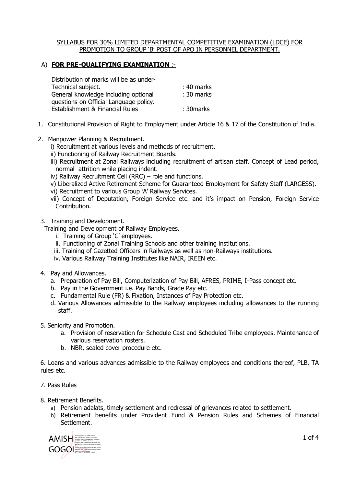#### SYLLABUS FOR 30% LIMITED DEPARTMENTAL COMPETITIVE EXAMINATION (LDCE) FOR PROMOTION TO GROUP 'B' POST OF APO IN PERSONNEL DEPARTMENT.

## A) FOR PRE-QUALIFYING EXAMINATION :-

| Distribution of marks will be as under- |              |
|-----------------------------------------|--------------|
| Technical subject.                      | $: 40$ marks |
| General knowledge including optional    | $: 30$ marks |
| questions on Official Language policy.  |              |
| Establishment & Financial Rules         | : 30 marks   |
|                                         |              |

- 1. Constitutional Provision of Right to Employment under Article 16 & 17 of the Constitution of India.
- 2. Manpower Planning & Recruitment.

i) Recruitment at various levels and methods of recruitment.

- ii) Functioning of Railway Recruitment Boards.
- iii) Recruitment at Zonal Railways including recruitment of artisan staff. Concept of Lead period, normal attrition while placing indent.
- iv) Railway Recruitment Cell (RRC) role and functions.
- v) Liberalized Active Retirement Scheme for Guaranteed Employment for Safety Staff (LARGESS).
- vi) Recruitment to various Group 'A' Railway Services.
- vii) Concept of Deputation, Foreign Service etc. and it's impact on Pension, Foreign Service Contribution.
- 3. Training and Development.

Training and Development of Railway Employees.

- i. Training of Group 'C' employees.
- ii. Functioning of Zonal Training Schools and other training institutions.
- iii. Training of Gazetted Officers in Railways as well as non-Railways institutions.
- iv. Various Railway Training Institutes like NAIR, IREEN etc.
- 4. Pay and Allowances.
	- a. Preparation of Pay Bill, Computerization of Pay Bill, AFRES, PRIME, I-Pass concept etc.
	- b. Pay in the Government i.e. Pay Bands, Grade Pay etc.
	- c. Fundamental Rule (FR) & Fixation, Instances of Pay Protection etc.
	- d. Various Allowances admissible to the Railway employees including allowances to the running staff.
- 5. Seniority and Promotion.
	- a. Provision of reservation for Schedule Cast and Scheduled Tribe employees. Maintenance of various reservation rosters.
	- b. NBR, sealed cover procedure etc.

6. Loans and various advances admissible to the Railway employees and conditions thereof, PLB, TA rules etc.

- 7. Pass Rules
- 8. Retirement Benefits.
	- a) Pension adalats, timely settlement and redressal of grievances related to settlement.
	- b) Retirement benefits under Provident Fund & Pension Rules and Schemes of Financial Settlement.

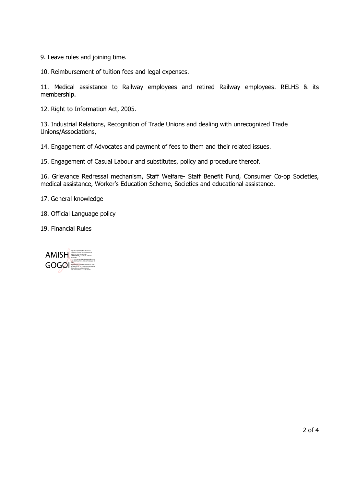9. Leave rules and joining time.

10. Reimbursement of tuition fees and legal expenses.

11. Medical assistance to Railway employees and retired Railway employees. RELHS & its membership.

12. Right to Information Act, 2005.

13. Industrial Relations, Recognition of Trade Unions and dealing with unrecognized Trade Unions/Associations,

14. Engagement of Advocates and payment of fees to them and their related issues.

15. Engagement of Casual Labour and substitutes, policy and procedure thereof.

16. Grievance Redressal mechanism, Staff Welfare- Staff Benefit Fund, Consumer Co-op Societies, medical assistance, Worker's Education Scheme, Societies and educational assistance.

17. General knowledge

18. Official Language policy

19. Financial Rules

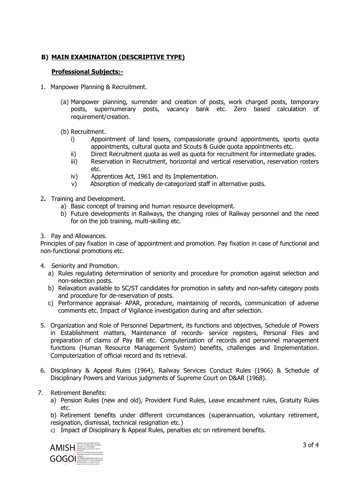# B) MAIN EXAMINATION (DESCRIPTIVE TYPE)

#### Professional Subjects:-

- 1. Manpower Planning & Recruitment.
	- (a) Manpower planning, surrender and creation of posts, work charged posts, temporary posts, supernumerary posts, vacancy bank etc. Zero based calculation of requirement/creation.
	- (b) Recruitment.
		- i) Appointment of land losers, compassionate ground appointments, sports quota appointments, cultural quota and Scouts & Guide quota appointments etc.
		- ii) Direct Recruitment quota as well as quota for recruitment for intermediate grades.
		- iii) Reservation in Recruitment, horizontal and vertical reservation, reservation rosters etc.
		- iv) Apprentices Act, 1961 and its Implementation.
		- v) Absorption of medically de-categorized staff in alternative posts.
- 2. Training and Development.
	- a) Basic concept of training and human resource development.
	- b) Future developments in Railways, the changing roles of Railway personnel and the need for on the job training, multi-skilling etc.
- 3. Pay and Allowances.

Principles of pay fixation in case of appointment and promotion. Pay fixation in case of functional and non-functional promotions etc.

- 4. Seniority and Promotion.
	- a) Rules regulating determination of seniority and procedure for promotion against selection and non-selection posts.
	- b) Relaxation available to SC/ST candidates for promotion in safety and non-safety category posts and procedure for de-reservation of posts.
	- c) Performance appraisal- APAR, procedure, maintaining of records, communication of adverse comments etc. Impact of Vigilance investigation during and after selection.
- 5. Organization and Role of Personnel Department, its functions and objectives, Schedule of Powers in Establishment matters, Maintenance of records- service registers, Personal Files and preparation of claims of Pay Bill etc. Computerization of records and personnel management functions (Human Resource Management System) benefits, challenges and Implementation. Computerization of official record and its retrieval.
- 6. Disciplinary & Appeal Rules (1964), Railway Services Conduct Rules (1966) & Schedule of Disciplinary Powers and Various judgments of Supreme Court on D&AR (1968).
- 7. Retirement Benefits:
	- a) Pension Rules (new and old), Provident Fund Rules, Leave encashment rules, Gratuity Rules etc.

b) Retirement benefits under different circumstances (superannuation, voluntary retirement, resignation, dismissal, technical resignation etc.)

c) Impact of Disciplinary & Appeal Rules, penalties etc on retirement benefits.